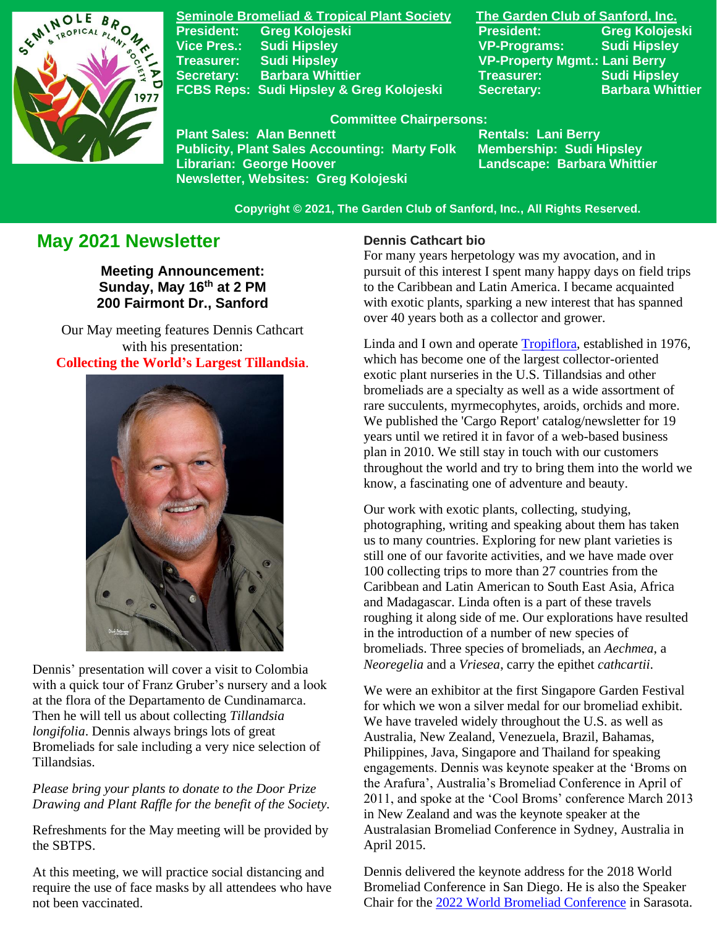

**Seminole Bromeliad & Tropical Plant Society The Garden Club of Sanford, Inc. Vice Pres.: Sudi Hipsley VP-Programs: Sudi Hipsley Treasurer: Sudi Hipsley VP-Property Mgmt.: Lani Berry Secretary:** Barbara Whittier **Network Treasurer:** Sudi Hipsley **FCBS Reps: Sudi Hipsley & Greg Kolojeski Secretary: Barbara Whittier** 

**President: Greg Kolojeski President: Greg Kolojeski** 

#### **Committee Chairpersons:**

Plant Sales: Alan Bennett<br>Publicity, Plant Sales Accounting: Marty Folk Membership: Sudi Hipsley **Publicity, Plant Sales Accounting: Marty Folk** Librarian: George Hoover **Landscape: Barbara Whittier Newsletter, Websites: Greg Kolojeski**

 **Copyright © 2021, The Garden Club of Sanford, Inc., All Rights Reserved.**

# **May 2021 Newsletter**

**Meeting Announcement: Sunday, May 16 th at 2 PM 200 Fairmont Dr., Sanford**

Our May meeting features Dennis Cathcart with his presentation: **Collecting the World's Largest Tillandsia**.



Dennis' presentation will cover a visit to Colombia with a quick tour of Franz Gruber's nursery and a look at the flora of the Departamento de Cundinamarca. Then he will tell us about collecting *Tillandsia longifolia*. Dennis always brings lots of great Bromeliads for sale including a very nice selection of Tillandsias.

*Please bring your plants to donate to the Door Prize Drawing and Plant Raffle for the benefit of the Society.*

Refreshments for the May meeting will be provided by the SBTPS.

At this meeting, we will practice social distancing and require the use of face masks by all attendees who have not been vaccinated.

#### **Dennis Cathcart bio**

For many years herpetology was my avocation, and in pursuit of this interest I spent many happy days on field trips to the Caribbean and Latin America. I became acquainted with exotic plants, sparking a new interest that has spanned over 40 years both as a collector and grower.

Linda and I own and operate [Tropiflora,](http://tropiflora.com/) established in 1976, which has become one of the largest collector-oriented exotic plant nurseries in the U.S. Tillandsias and other bromeliads are a specialty as well as a wide assortment of rare succulents, myrmecophytes, aroids, orchids and more. We published the 'Cargo Report' catalog/newsletter for 19 years until we retired it in favor of a web-based business plan in 2010. We still stay in touch with our customers throughout the world and try to bring them into the world we know, a fascinating one of adventure and beauty.

Our work with exotic plants, collecting, studying, photographing, writing and speaking about them has taken us to many countries. Exploring for new plant varieties is still one of our favorite activities, and we have made over 100 collecting trips to more than 27 countries from the Caribbean and Latin American to South East Asia, Africa and Madagascar. Linda often is a part of these travels roughing it along side of me. Our explorations have resulted in the introduction of a number of new species of bromeliads. Three species of bromeliads, an *Aechmea*, a *Neoregelia* and a *Vriesea*, carry the epithet *cathcartii*.

We were an exhibitor at the first Singapore Garden Festival for which we won a silver medal for our bromeliad exhibit. We have traveled widely throughout the U.S. as well as Australia, New Zealand, Venezuela, Brazil, Bahamas, Philippines, Java, Singapore and Thailand for speaking engagements. Dennis was keynote speaker at the 'Broms on the Arafura', Australia's Bromeliad Conference in April of 2011, and spoke at the 'Cool Broms' conference March 2013 in New Zealand and was the keynote speaker at the Australasian Bromeliad Conference in Sydney, Australia in April 2015.

Dennis delivered the keynote address for the 2018 World Bromeliad Conference in San Diego. He is also the Speaker Chair for the [2022 World Bromeliad Conference](https://www.bsi.org/new/conference-corner/) in Sarasota.